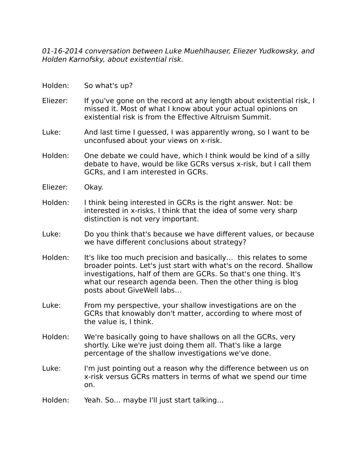01-16-2014 conversation between Luke Muehlhauser, Eliezer Yudkowsky, and Holden Karnofsky, about existential risk.

| Holden:<br>So what's up? |
|--------------------------|
|--------------------------|

- Eliezer: If you've gone on the record at any length about existential risk, I missed it. Most of what I know about your actual opinions on existential risk is from the Effective Altruism Summit.
- Luke: And last time I guessed, I was apparently wrong, so I want to be unconfused about your views on x-risk.
- Holden: One debate we could have, which I think would be kind of a silly debate to have, would be like GCRs versus x-risk, but I call them GCRs, and I am interested in GCRs.
- Eliezer: Okay.
- Holden: I think being interested in GCRs is the right answer. Not: be interested in x-risks. I think that the idea of some very sharp distinction is not very important.
- Luke: Do you think that's because we have different values, or because we have different conclusions about strategy?
- Holden: It's like too much precision and basically... this relates to some broader points. Let's just start with what's on the record. Shallow investigations, half of them are GCRs. So that's one thing. It's what our research agenda been. Then the other thing is blog posts about GiveWell labs…
- Luke: From my perspective, your shallow investigations are on the GCRs that knowably don't matter, according to where most of the value is, I think.
- Holden: We're basically going to have shallows on all the GCRs, very shortly. Like we're just doing them all. That's like a large percentage of the shallow investigations we've done.
- Luke: I'm just pointing out a reason why the difference between us on x-risk versus GCRs matters in terms of what we spend our time on.
- Holden: Yeah. So… maybe I'll just start talking…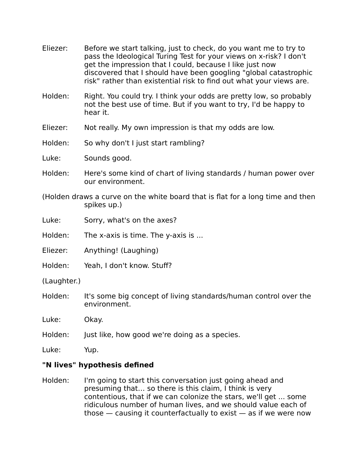- Eliezer: Before we start talking, just to check, do you want me to try to pass the Ideological Turing Test for your views on x-risk? I don't get the impression that I could, because I like just now discovered that I should have been googling "global catastrophic risk" rather than existential risk to find out what your views are.
- Holden: Right. You could try. I think your odds are pretty low, so probably not the best use of time. But if you want to try, I'd be happy to hear it.
- Eliezer: Not really. My own impression is that my odds are low.
- Holden: So why don't I just start rambling?
- Luke: Sounds good.
- Holden: Here's some kind of chart of living standards / human power over our environment.
- (Holden draws a curve on the white board that is flat for a long time and then spikes up.)
- Luke: Sorry, what's on the axes?
- Holden: The x-axis is time. The y-axis is ...
- Eliezer: Anything! (Laughing)
- Holden: Yeah, I don't know. Stuff?
- (Laughter.)
- Holden: It's some big concept of living standards/human control over the environment.
- Luke: Okay.
- Holden: Just like, how good we're doing as a species.
- Luke: Yup.

## **"N lives" hypothesis defined**

Holden: I'm going to start this conversation just going ahead and presuming that… so there is this claim, I think is very contentious, that if we can colonize the stars, we'll get ... some ridiculous number of human lives, and we should value each of those — causing it counterfactually to exist — as if we were now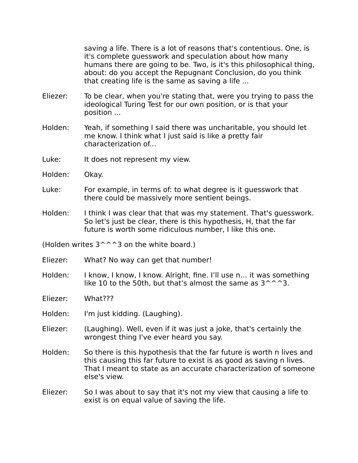saving a life. There is a lot of reasons that's contentious. One, is it's complete guesswork and speculation about how many humans there are going to be. Two, is it's this philosophical thing, about: do you accept the Repugnant Conclusion, do you think that creating life is the same as saving a life ...

- Eliezer: To be clear, when you're stating that, were you trying to pass the ideological Turing Test for our own position, or is that your position ...
- Holden: Yeah, if something I said there was uncharitable, you should let me know. I think what I just said is like a pretty fair characterization of...
- Luke: It does not represent my view.
- Holden: Okay.
- Luke: For example, in terms of: to what degree is it guesswork that there could be massively more sentient beings.
- Holden: I think I was clear that that was my statement. That's guesswork. So let's just be clear, there is this hypothesis, H, that the far future is worth some ridiculous number, I like this one.

(Holden writes  $3^{\wedge}$   $\hat{ }3$  on the white board.)

- Eliezer: What? No way can get that number!
- Holden: I know, I know, I know. Alright, fine. I'll use n… it was something like 10 to the 50th, but that's almost the same as  $3^{\wedge}$  ^ 3.
- Eliezer: What???
- Holden: I'm just kidding. (Laughing).
- Eliezer: (Laughing). Well, even if it was just a joke, that's certainly the wrongest thing I've ever heard you say.
- Holden: So there is this hypothesis that the far future is worth n lives and this causing this far future to exist is as good as saving n lives. That I meant to state as an accurate characterization of someone else's view.
- Eliezer: So I was about to say that it's not my view that causing a life to exist is on equal value of saving the life.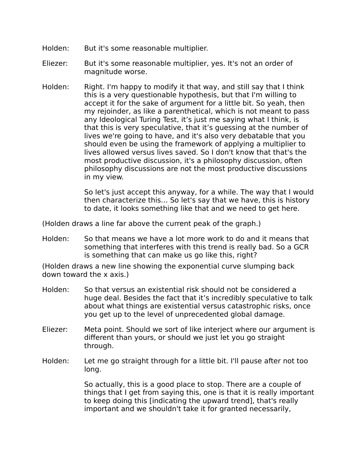- Holden: But it's some reasonable multiplier.
- Eliezer: But it's some reasonable multiplier, yes. It's not an order of magnitude worse.
- Holden: Right. I'm happy to modify it that way, and still say that I think this is a very questionable hypothesis, but that I'm willing to accept it for the sake of argument for a little bit. So yeah, then my rejoinder, as like a parenthetical, which is not meant to pass any Ideological Turing Test, it's just me saying what I think, is that this is very speculative, that it's guessing at the number of lives we're going to have, and it's also very debatable that you should even be using the framework of applying a multiplier to lives allowed versus lives saved. So I don't know that that's the most productive discussion, it's a philosophy discussion, often philosophy discussions are not the most productive discussions in my view.

So let's just accept this anyway, for a while. The way that I would then characterize this… So let's say that we have, this is history to date, it looks something like that and we need to get here.

(Holden draws a line far above the current peak of the graph.)

Holden: So that means we have a lot more work to do and it means that something that interferes with this trend is really bad. So a GCR is something that can make us go like this, right?

(Holden draws a new line showing the exponential curve slumping back down toward the x axis.)

- Holden: So that versus an existential risk should not be considered a huge deal. Besides the fact that it's incredibly speculative to talk about what things are existential versus catastrophic risks, once you get up to the level of unprecedented global damage.
- Eliezer: Meta point. Should we sort of like interject where our argument is different than yours, or should we just let you go straight through.
- Holden: Let me go straight through for a little bit. I'll pause after not too long.

So actually, this is a good place to stop. There are a couple of things that I get from saying this, one is that it is really important to keep doing this [indicating the upward trend], that's really important and we shouldn't take it for granted necessarily,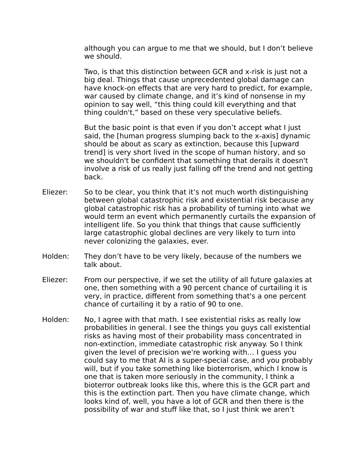although you can argue to me that we should, but I don't believe we should.

Two, is that this distinction between GCR and x-risk is just not a big deal. Things that cause unprecedented global damage can have knock-on effects that are very hard to predict, for example, war caused by climate change, and it's kind of nonsense in my opinion to say well, "this thing could kill everything and that thing couldn't," based on these very speculative beliefs.

But the basic point is that even if you don't accept what I just said, the [human progress slumping back to the x-axis] dynamic should be about as scary as extinction, because this [upward trend] is very short lived in the scope of human history, and so we shouldn't be confident that something that derails it doesn't involve a risk of us really just falling off the trend and not getting back.

- Eliezer: So to be clear, you think that it's not much worth distinguishing between global catastrophic risk and existential risk because any global catastrophic risk has a probability of turning into what we would term an event which permanently curtails the expansion of intelligent life. So you think that things that cause sufficiently large catastrophic global declines are very likely to turn into never colonizing the galaxies, ever.
- Holden: They don't have to be very likely, because of the numbers we talk about.
- Eliezer: From our perspective, if we set the utility of all future galaxies at one, then something with a 90 percent chance of curtailing it is very, in practice, different from something that's a one percent chance of curtailing it by a ratio of 90 to one.
- Holden: No, I agree with that math. I see existential risks as really low probabilities in general. I see the things you guys call existential risks as having most of their probability mass concentrated in non-extinction, immediate catastrophic risk anyway. So I think given the level of precision we're working with… I guess you could say to me that AI is a super-special case, and you probably will, but if you take something like bioterrorism, which I know is one that is taken more seriously in the community, I think a bioterror outbreak looks like this, where this is the GCR part and this is the extinction part. Then you have climate change, which looks kind of, well, you have a lot of GCR and then there is the possibility of war and stuff like that, so I just think we aren't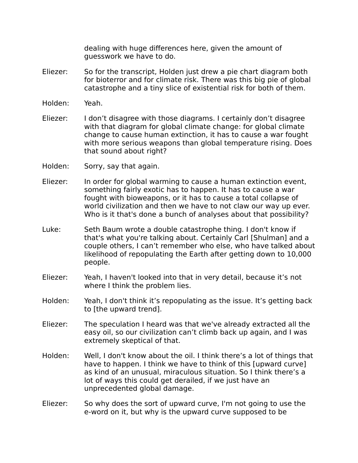dealing with huge differences here, given the amount of guesswork we have to do.

- Eliezer: So for the transcript, Holden just drew a pie chart diagram both for bioterror and for climate risk. There was this big pie of global catastrophe and a tiny slice of existential risk for both of them.
- Holden: Yeah.
- Eliezer: I don't disagree with those diagrams. I certainly don't disagree with that diagram for global climate change: for global climate change to cause human extinction, it has to cause a war fought with more serious weapons than global temperature rising. Does that sound about right?
- Holden: Sorry, say that again.
- Eliezer: In order for global warming to cause a human extinction event, something fairly exotic has to happen. It has to cause a war fought with bioweapons, or it has to cause a total collapse of world civilization and then we have to not claw our way up ever. Who is it that's done a bunch of analyses about that possibility?
- Luke: Seth Baum wrote a double catastrophe thing. I don't know if that's what you're talking about. Certainly Carl [Shulman] and a couple others, I can't remember who else, who have talked about likelihood of repopulating the Earth after getting down to 10,000 people.
- Eliezer: Yeah, I haven't looked into that in very detail, because it's not where I think the problem lies.
- Holden: Yeah, I don't think it's repopulating as the issue. It's getting back to [the upward trend].
- Eliezer: The speculation I heard was that we've already extracted all the easy oil, so our civilization can't climb back up again, and I was extremely skeptical of that.
- Holden: Well, I don't know about the oil. I think there's a lot of things that have to happen. I think we have to think of this [upward curve] as kind of an unusual, miraculous situation. So I think there's a lot of ways this could get derailed, if we just have an unprecedented global damage.
- Eliezer: So why does the sort of upward curve, I'm not going to use the e-word on it, but why is the upward curve supposed to be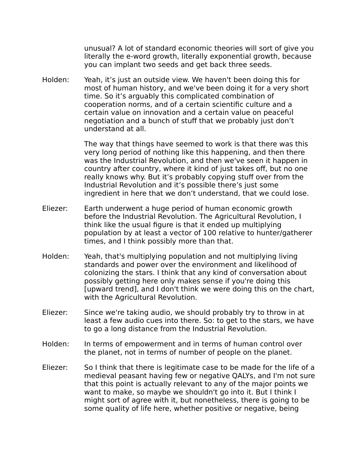unusual? A lot of standard economic theories will sort of give you literally the e-word growth, literally exponential growth, because you can implant two seeds and get back three seeds.

Holden: Yeah, it's just an outside view. We haven't been doing this for most of human history, and we've been doing it for a very short time. So it's arguably this complicated combination of cooperation norms, and of a certain scientific culture and a certain value on innovation and a certain value on peaceful negotiation and a bunch of stuff that we probably just don't understand at all.

> The way that things have seemed to work is that there was this very long period of nothing like this happening, and then there was the Industrial Revolution, and then we've seen it happen in country after country, where it kind of just takes off, but no one really knows why. But it's probably copying stuff over from the Industrial Revolution and it's possible there's just some ingredient in here that we don't understand, that we could lose.

- Eliezer: Earth underwent a huge period of human economic growth before the Industrial Revolution. The Agricultural Revolution, I think like the usual figure is that it ended up multiplying population by at least a vector of 100 relative to hunter/gatherer times, and I think possibly more than that.
- Holden: Yeah, that's multiplying population and not multiplying living standards and power over the environment and likelihood of colonizing the stars. I think that any kind of conversation about possibly getting here only makes sense if you're doing this [upward trend], and I don't think we were doing this on the chart, with the Agricultural Revolution.
- Eliezer: Since we're taking audio, we should probably try to throw in at least a few audio cues into there. So: to get to the stars, we have to go a long distance from the Industrial Revolution.
- Holden: In terms of empowerment and in terms of human control over the planet, not in terms of number of people on the planet.
- Eliezer: So I think that there is legitimate case to be made for the life of a medieval peasant having few or negative QALYs, and I'm not sure that this point is actually relevant to any of the major points we want to make, so maybe we shouldn't go into it. But I think I might sort of agree with it, but nonetheless, there is going to be some quality of life here, whether positive or negative, being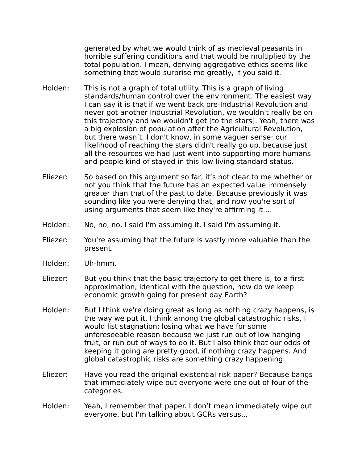generated by what we would think of as medieval peasants in horrible suffering conditions and that would be multiplied by the total population. I mean, denying aggregative ethics seems like something that would surprise me greatly, if you said it.

- Holden: This is not a graph of total utility. This is a graph of living standards/human control over the environment. The easiest way I can say it is that if we went back pre-Industrial Revolution and never got another Industrial Revolution, we wouldn't really be on this trajectory and we wouldn't get [to the stars]. Yeah, there was a big explosion of population after the Agricultural Revolution, but there wasn't, I don't know, in some vaguer sense: our likelihood of reaching the stars didn't really go up, because just all the resources we had just went into supporting more humans and people kind of stayed in this low living standard status.
- Eliezer: So based on this argument so far, it's not clear to me whether or not you think that the future has an expected value immensely greater than that of the past to date. Because previously it was sounding like you were denying that, and now you're sort of using arguments that seem like they're affirming it …
- Holden: No, no, no, I said I'm assuming it. I said I'm assuming it.
- Eliezer: You're assuming that the future is vastly more valuable than the present.
- Holden: Uh-hmm.
- Eliezer: But you think that the basic trajectory to get there is, to a first approximation, identical with the question, how do we keep economic growth going for present day Earth?
- Holden: But I think we're doing great as long as nothing crazy happens, is the way we put it. I think among the global catastrophic risks, I would list stagnation: losing what we have for some unforeseeable reason because we just run out of low hanging fruit, or run out of ways to do it. But I also think that our odds of keeping it going are pretty good, if nothing crazy happens. And global catastrophic risks are something crazy happening.
- Eliezer: Have you read the original existential risk paper? Because bangs that immediately wipe out everyone were one out of four of the categories.
- Holden: Yeah, I remember that paper. I don't mean immediately wipe out everyone, but I'm talking about GCRs versus...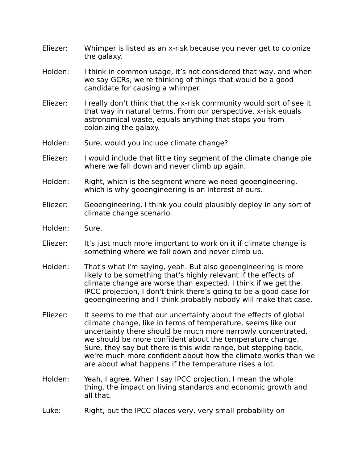- Eliezer: Whimper is listed as an x-risk because you never get to colonize the galaxy.
- Holden: I think in common usage, it's not considered that way, and when we say GCRs, we're thinking of things that would be a good candidate for causing a whimper.
- Eliezer: I really don't think that the x-risk community would sort of see it that way in natural terms. From our perspective, x-risk equals astronomical waste, equals anything that stops you from colonizing the galaxy.
- Holden: Sure, would you include climate change?
- Eliezer: I would include that little tiny segment of the climate change pie where we fall down and never climb up again.
- Holden: Right, which is the segment where we need geoengineering, which is why geoengineering is an interest of ours.
- Eliezer: Geoengineering, I think you could plausibly deploy in any sort of climate change scenario.
- Holden: Sure.
- Eliezer: It's just much more important to work on it if climate change is something where we fall down and never climb up.
- Holden: That's what I'm saying, yeah. But also geoengineering is more likely to be something that's highly relevant if the effects of climate change are worse than expected. I think if we get the IPCC projection, I don't think there's going to be a good case for geoengineering and I think probably nobody will make that case.
- Eliezer: It seems to me that our uncertainty about the effects of global climate change, like in terms of temperature, seems like our uncertainty there should be much more narrowly concentrated, we should be more confident about the temperature change. Sure, they say but there is this wide range, but stepping back, we're much more confident about how the climate works than we are about what happens if the temperature rises a lot.
- Holden: Yeah, I agree. When I say IPCC projection, I mean the whole thing, the impact on living standards and economic growth and all that.
- Luke: Right, but the IPCC places very, very small probability on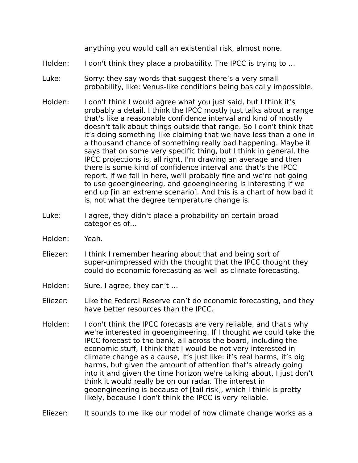anything you would call an existential risk, almost none.

- Holden: I don't think they place a probability. The IPCC is trying to ...
- Luke: Sorry: they say words that suggest there's a very small probability, like: Venus-like conditions being basically impossible.
- Holden: I don't think I would agree what you just said, but I think it's probably a detail. I think the IPCC mostly just talks about a range that's like a reasonable confidence interval and kind of mostly doesn't talk about things outside that range. So I don't think that it's doing something like claiming that we have less than a one in a thousand chance of something really bad happening. Maybe it says that on some very specific thing, but I think in general, the IPCC projections is, all right, I'm drawing an average and then there is some kind of confidence interval and that's the IPCC report. If we fall in here, we'll probably fine and we're not going to use geoengineering, and geoengineering is interesting if we end up [in an extreme scenario]. And this is a chart of how bad it is, not what the degree temperature change is.
- Luke: I agree, they didn't place a probability on certain broad categories of…
- Holden: Yeah.
- Eliezer: I think I remember hearing about that and being sort of super-unimpressed with the thought that the IPCC thought they could do economic forecasting as well as climate forecasting.
- Holden: Sure. I agree, they can't ...
- Eliezer: Like the Federal Reserve can't do economic forecasting, and they have better resources than the IPCC.
- Holden: I don't think the IPCC forecasts are very reliable, and that's why we're interested in geoengineering. If I thought we could take the IPCC forecast to the bank, all across the board, including the economic stuff, I think that I would be not very interested in climate change as a cause, it's just like: it's real harms, it's big harms, but given the amount of attention that's already going into it and given the time horizon we're talking about, I just don't think it would really be on our radar. The interest in geoengineering is because of [tail risk], which I think is pretty likely, because I don't think the IPCC is very reliable.
- Eliezer: It sounds to me like our model of how climate change works as a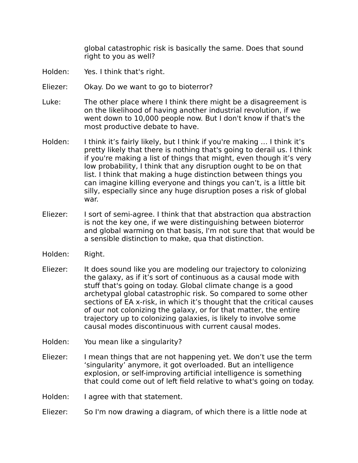global catastrophic risk is basically the same. Does that sound right to you as well?

- Holden: Yes. I think that's right.
- Eliezer: Okay. Do we want to go to bioterror?
- Luke: The other place where I think there might be a disagreement is on the likelihood of having another industrial revolution, if we went down to 10,000 people now. But I don't know if that's the most productive debate to have.
- Holden: I think it's fairly likely, but I think if you're making … I think it's pretty likely that there is nothing that's going to derail us. I think if you're making a list of things that might, even though it's very low probability, I think that any disruption ought to be on that list. I think that making a huge distinction between things you can imagine killing everyone and things you can't, is a little bit silly, especially since any huge disruption poses a risk of global war.
- Eliezer: I sort of semi-agree. I think that that abstraction qua abstraction is not the key one, if we were distinguishing between bioterror and global warming on that basis, I'm not sure that that would be a sensible distinction to make, qua that distinction.
- Holden: Right.
- Eliezer: It does sound like you are modeling our trajectory to colonizing the galaxy, as if it's sort of continuous as a causal mode with stuff that's going on today. Global climate change is a good archetypal global catastrophic risk. So compared to some other sections of EA x-risk, in which it's thought that the critical causes of our not colonizing the galaxy, or for that matter, the entire trajectory up to colonizing galaxies, is likely to involve some causal modes discontinuous with current causal modes.
- Holden: You mean like a singularity?
- Eliezer: I mean things that are not happening yet. We don't use the term 'singularity' anymore, it got overloaded. But an intelligence explosion, or self-improving artificial intelligence is something that could come out of left field relative to what's going on today.
- Holden: I agree with that statement.
- Eliezer: So I'm now drawing a diagram, of which there is a little node at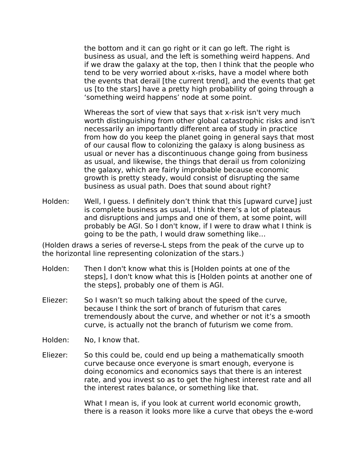the bottom and it can go right or it can go left. The right is business as usual, and the left is something weird happens. And if we draw the galaxy at the top, then I think that the people who tend to be very worried about x-risks, have a model where both the events that derail [the current trend], and the events that get us [to the stars] have a pretty high probability of going through a 'something weird happens' node at some point.

Whereas the sort of view that says that x-risk isn't very much worth distinguishing from other global catastrophic risks and isn't necessarily an importantly different area of study in practice from how do you keep the planet going in general says that most of our causal flow to colonizing the galaxy is along business as usual or never has a discontinuous change going from business as usual, and likewise, the things that derail us from colonizing the galaxy, which are fairly improbable because economic growth is pretty steady, would consist of disrupting the same business as usual path. Does that sound about right?

Holden: Well, I guess. I definitely don't think that this [upward curve] just is complete business as usual, I think there's a lot of plateaus and disruptions and jumps and one of them, at some point, will probably be AGI. So I don't know, if I were to draw what I think is going to be the path, I would draw something like…

(Holden draws a series of reverse-L steps from the peak of the curve up to the horizontal line representing colonization of the stars.)

- Holden: Then I don't know what this is [Holden points at one of the steps], I don't know what this is [Holden points at another one of the steps], probably one of them is AGI.
- Eliezer: So I wasn't so much talking about the speed of the curve, because I think the sort of branch of futurism that cares tremendously about the curve, and whether or not it's a smooth curve, is actually not the branch of futurism we come from.
- Holden: No, I know that.
- Eliezer: So this could be, could end up being a mathematically smooth curve because once everyone is smart enough, everyone is doing economics and economics says that there is an interest rate, and you invest so as to get the highest interest rate and all the interest rates balance, or something like that.

What I mean is, if you look at current world economic growth, there is a reason it looks more like a curve that obeys the e-word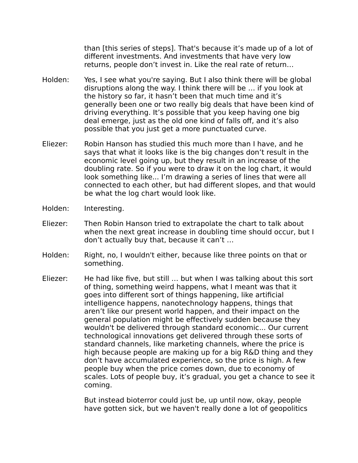than [this series of steps]. That's because it's made up of a lot of different investments. And investments that have very low returns, people don't invest in. Like the real rate of return…

- Holden: Yes, I see what you're saying. But I also think there will be global disruptions along the way. I think there will be … if you look at the history so far, it hasn't been that much time and it's generally been one or two really big deals that have been kind of driving everything. It's possible that you keep having one big deal emerge, just as the old one kind of falls off, and it's also possible that you just get a more punctuated curve.
- Eliezer: Robin Hanson has studied this much more than I have, and he says that what it looks like is the big changes don't result in the economic level going up, but they result in an increase of the doubling rate. So if you were to draw it on the log chart, it would look something like... I'm drawing a series of lines that were all connected to each other, but had different slopes, and that would be what the log chart would look like.
- Holden: Interesting.
- Eliezer: Then Robin Hanson tried to extrapolate the chart to talk about when the next great increase in doubling time should occur, but I don't actually buy that, because it can't …
- Holden: Right, no, I wouldn't either, because like three points on that or something.
- Eliezer: He had like five, but still … but when I was talking about this sort of thing, something weird happens, what I meant was that it goes into different sort of things happening, like artificial intelligence happens, nanotechnology happens, things that aren't like our present world happen, and their impact on the general population might be effectively sudden because they wouldn't be delivered through standard economic... Our current technological innovations get delivered through these sorts of standard channels, like marketing channels, where the price is high because people are making up for a big R&D thing and they don't have accumulated experience, so the price is high. A few people buy when the price comes down, due to economy of scales. Lots of people buy, it's gradual, you get a chance to see it coming.

But instead bioterror could just be, up until now, okay, people have gotten sick, but we haven't really done a lot of geopolitics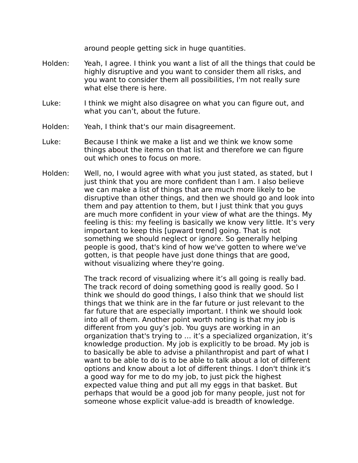around people getting sick in huge quantities.

- Holden: Yeah, I agree. I think you want a list of all the things that could be highly disruptive and you want to consider them all risks, and you want to consider them all possibilities, I'm not really sure what else there is here.
- Luke: I think we might also disagree on what you can figure out, and what you can't, about the future.
- Holden: Yeah, I think that's our main disagreement.
- Luke: Because I think we make a list and we think we know some things about the items on that list and therefore we can figure out which ones to focus on more.
- Holden: Well, no, I would agree with what you just stated, as stated, but I just think that you are more confident than I am. I also believe we can make a list of things that are much more likely to be disruptive than other things, and then we should go and look into them and pay attention to them, but I just think that you guys are much more confident in your view of what are the things. My feeling is this: my feeling is basically we know very little. It's very important to keep this [upward trend] going. That is not something we should neglect or ignore. So generally helping people is good, that's kind of how we've gotten to where we've gotten, is that people have just done things that are good, without visualizing where they're going.

The track record of visualizing where it's all going is really bad. The track record of doing something good is really good. So I think we should do good things, I also think that we should list things that we think are in the far future or just relevant to the far future that are especially important. I think we should look into all of them. Another point worth noting is that my job is different from you guy's job. You guys are working in an organization that's trying to … it's a specialized organization, it's knowledge production. My job is explicitly to be broad. My job is to basically be able to advise a philanthropist and part of what I want to be able to do is to be able to talk about a lot of different options and know about a lot of different things. I don't think it's a good way for me to do my job, to just pick the highest expected value thing and put all my eggs in that basket. But perhaps that would be a good job for many people, just not for someone whose explicit value-add is breadth of knowledge.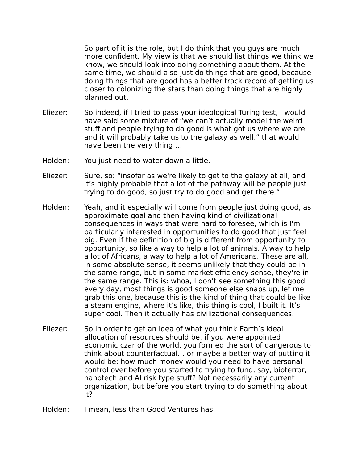So part of it is the role, but I do think that you guys are much more confident. My view is that we should list things we think we know, we should look into doing something about them. At the same time, we should also just do things that are good, because doing things that are good has a better track record of getting us closer to colonizing the stars than doing things that are highly planned out.

- Eliezer: So indeed, if I tried to pass your ideological Turing test, I would have said some mixture of "we can't actually model the weird stuff and people trying to do good is what got us where we are and it will probably take us to the galaxy as well," that would have been the very thing …
- Holden: You just need to water down a little.
- Eliezer: Sure, so: "insofar as we're likely to get to the galaxy at all, and it's highly probable that a lot of the pathway will be people just trying to do good, so just try to do good and get there."
- Holden: Yeah, and it especially will come from people just doing good, as approximate goal and then having kind of civilizational consequences in ways that were hard to foresee, which is I'm particularly interested in opportunities to do good that just feel big. Even if the definition of big is different from opportunity to opportunity, so like a way to help a lot of animals. A way to help a lot of Africans, a way to help a lot of Americans. These are all, in some absolute sense, it seems unlikely that they could be in the same range, but in some market efficiency sense, they're in the same range. This is: whoa, I don't see something this good every day, most things is good someone else snaps up, let me grab this one, because this is the kind of thing that could be like a steam engine, where it's like, this thing is cool, I built it. It's super cool. Then it actually has civilizational consequences.
- Eliezer: So in order to get an idea of what you think Earth's ideal allocation of resources should be, if you were appointed economic czar of the world, you formed the sort of dangerous to think about counterfactual… or maybe a better way of putting it would be: how much money would you need to have personal control over before you started to trying to fund, say, bioterror, nanotech and AI risk type stuff? Not necessarily any current organization, but before you start trying to do something about it?
- Holden: I mean, less than Good Ventures has.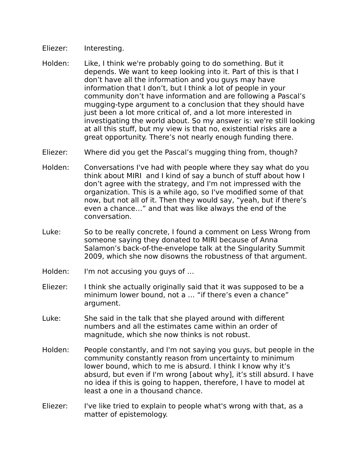- Eliezer: Interesting.
- Holden: Like, I think we're probably going to do something. But it depends. We want to keep looking into it. Part of this is that I don't have all the information and you guys may have information that I don't, but I think a lot of people in your community don't have information and are following a Pascal's mugging-type argument to a conclusion that they should have just been a lot more critical of, and a lot more interested in investigating the world about. So my answer is: we're still looking at all this stuff, but my view is that no, existential risks are a great opportunity. There's not nearly enough funding there.
- Eliezer: Where did you get the Pascal's mugging thing from, though?
- Holden: Conversations I've had with people where they say what do you think about MIRI and I kind of say a bunch of stuff about how I don't agree with the strategy, and I'm not impressed with the organization. This is a while ago, so I've modified some of that now, but not all of it. Then they would say, "yeah, but if there's even a chance…" and that was like always the end of the conversation.
- Luke: So to be really concrete, I found a comment on Less Wrong from someone saying they donated to MIRI because of Anna Salamon's back-of-the-envelope talk at the Singularity Summit 2009, which she now disowns the robustness of that argument.
- Holden: I'm not accusing you guys of ...
- Eliezer: I think she actually originally said that it was supposed to be a minimum lower bound, not a … "if there's even a chance" argument.
- Luke: She said in the talk that she played around with different numbers and all the estimates came within an order of magnitude, which she now thinks is not robust.
- Holden: People constantly, and I'm not saying you guys, but people in the community constantly reason from uncertainty to minimum lower bound, which to me is absurd. I think I know why it's absurd, but even if I'm wrong [about why], it's still absurd. I have no idea if this is going to happen, therefore, I have to model at least a one in a thousand chance.
- Eliezer: I've like tried to explain to people what's wrong with that, as a matter of epistemology.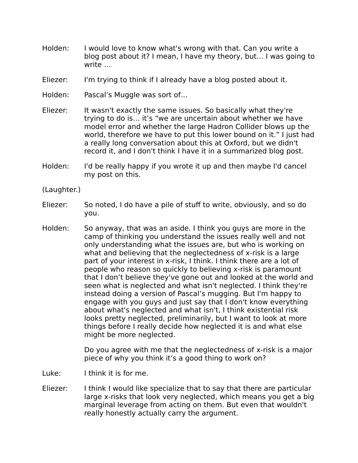- Holden: I would love to know what's wrong with that. Can you write a blog post about it? I mean, I have my theory, but… I was going to write …
- Eliezer: I'm trying to think if I already have a blog posted about it.
- Holden: Pascal's Muggle was sort of…
- Eliezer: It wasn't exactly the same issues. So basically what they're trying to do is… it's "we are uncertain about whether we have model error and whether the large Hadron Collider blows up the world, therefore we have to put this lower bound on it." I just had a really long conversation about this at Oxford, but we didn't record it, and I don't think I have it in a summarized blog post.
- Holden: I'd be really happy if you wrote it up and then maybe I'd cancel my post on this.

(Laughter.)

- Eliezer: So noted, I do have a pile of stuff to write, obviously, and so do you.
- Holden: So anyway, that was an aside. I think you guys are more in the camp of thinking you understand the issues really well and not only understanding what the issues are, but who is working on what and believing that the neglectedness of x-risk is a large part of your interest in x-risk, I think. I think there are a lot of people who reason so quickly to believing x-risk is paramount that I don't believe they've gone out and looked at the world and seen what is neglected and what isn't neglected. I think they're instead doing a version of Pascal's mugging. But I'm happy to engage with you guys and just say that I don't know everything about what's neglected and what isn't, I think existential risk looks pretty neglected, preliminarily, but I want to look at more things before I really decide how neglected it is and what else might be more neglected.

Do you agree with me that the neglectedness of x-risk is a major piece of why you think it's a good thing to work on?

- Luke: I think it is for me.
- Eliezer: I think I would like specialize that to say that there are particular large x-risks that look very neglected, which means you get a big marginal leverage from acting on them. But even that wouldn't really honestly actually carry the argument.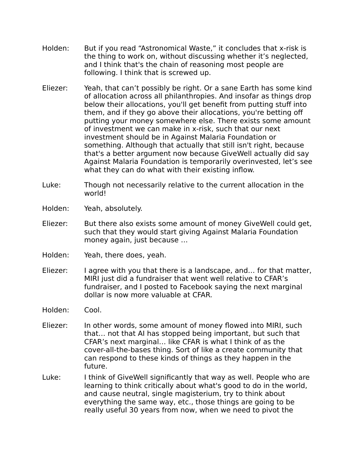- Holden: But if you read "Astronomical Waste," it concludes that x-risk is the thing to work on, without discussing whether it's neglected, and I think that's the chain of reasoning most people are following. I think that is screwed up.
- Eliezer: Yeah, that can't possibly be right. Or a sane Earth has some kind of allocation across all philanthropies. And insofar as things drop below their allocations, you'll get benefit from putting stuff into them, and if they go above their allocations, you're betting off putting your money somewhere else. There exists some amount of investment we can make in x-risk, such that our next investment should be in Against Malaria Foundation or something. Although that actually that still isn't right, because that's a better argument now because GiveWell actually did say Against Malaria Foundation is temporarily overinvested, let's see what they can do what with their existing inflow.
- Luke: Though not necessarily relative to the current allocation in the world!
- Holden: Yeah, absolutely.
- Eliezer: But there also exists some amount of money GiveWell could get, such that they would start giving Against Malaria Foundation money again, just because …
- Holden: Yeah, there does, yeah.
- Eliezer: I agree with you that there is a landscape, and… for that matter, MIRI just did a fundraiser that went well relative to CFAR's fundraiser, and I posted to Facebook saying the next marginal dollar is now more valuable at CFAR.
- Holden: Cool.
- Eliezer: In other words, some amount of money flowed into MIRI, such that… not that AI has stopped being important, but such that CFAR's next marginal… like CFAR is what I think of as the cover-all-the-bases thing. Sort of like a create community that can respond to these kinds of things as they happen in the future.
- Luke: I think of GiveWell significantly that way as well. People who are learning to think critically about what's good to do in the world, and cause neutral, single magisterium, try to think about everything the same way, etc., those things are going to be really useful 30 years from now, when we need to pivot the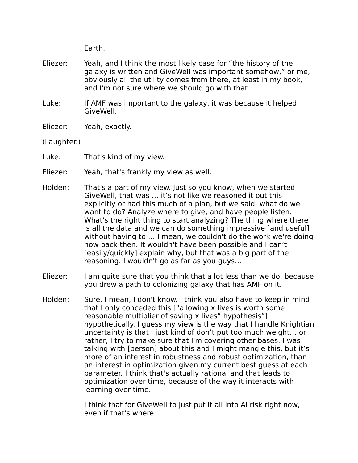Earth.

- Eliezer: Yeah, and I think the most likely case for "the history of the galaxy is written and GiveWell was important somehow," or me, obviously all the utility comes from there, at least in my book, and I'm not sure where we should go with that.
- Luke: If AMF was important to the galaxy, it was because it helped GiveWell.
- Eliezer: Yeah, exactly.
- (Laughter.)
- Luke: That's kind of my view.
- Eliezer: Yeah, that's frankly my view as well.
- Holden: That's a part of my view. Just so you know, when we started GiveWell, that was … it's not like we reasoned it out this explicitly or had this much of a plan, but we said: what do we want to do? Analyze where to give, and have people listen. What's the right thing to start analyzing? The thing where there is all the data and we can do something impressive [and useful] without having to … I mean, we couldn't do the work we're doing now back then. It wouldn't have been possible and I can't [easily/quickly] explain why, but that was a big part of the reasoning. I wouldn't go as far as you guys…
- Eliezer: I am quite sure that you think that a lot less than we do, because you drew a path to colonizing galaxy that has AMF on it.
- Holden: Sure. I mean, I don't know. I think you also have to keep in mind that I only conceded this ["allowing x lives is worth some reasonable multiplier of saving x lives" hypothesis"] hypothetically. I guess my view is the way that I handle Knightian uncertainty is that I just kind of don't put too much weight… or rather, I try to make sure that I'm covering other bases. I was talking with [person] about this and I might mangle this, but it's more of an interest in robustness and robust optimization, than an interest in optimization given my current best guess at each parameter. I think that's actually rational and that leads to optimization over time, because of the way it interacts with learning over time.

I think that for GiveWell to just put it all into AI risk right now, even if that's where …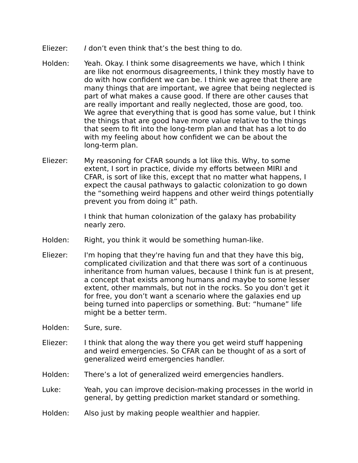- Eliezer: I don't even think that's the best thing to do.
- Holden: Yeah. Okay. I think some disagreements we have, which I think are like not enormous disagreements, I think they mostly have to do with how confident we can be. I think we agree that there are many things that are important, we agree that being neglected is part of what makes a cause good. If there are other causes that are really important and really neglected, those are good, too. We agree that everything that is good has some value, but I think the things that are good have more value relative to the things that seem to fit into the long-term plan and that has a lot to do with my feeling about how confident we can be about the long-term plan.
- Eliezer: My reasoning for CFAR sounds a lot like this. Why, to some extent, I sort in practice, divide my efforts between MIRI and CFAR, is sort of like this, except that no matter what happens, I expect the causal pathways to galactic colonization to go down the "something weird happens and other weird things potentially prevent you from doing it" path.

I think that human colonization of the galaxy has probability nearly zero.

- Holden: Right, you think it would be something human-like.
- Eliezer: I'm hoping that they're having fun and that they have this big, complicated civilization and that there was sort of a continuous inheritance from human values, because I think fun is at present, a concept that exists among humans and maybe to some lesser extent, other mammals, but not in the rocks. So you don't get it for free, you don't want a scenario where the galaxies end up being turned into paperclips or something. But: "humane" life might be a better term.
- Holden: Sure, sure.
- Eliezer: I think that along the way there you get weird stuff happening and weird emergencies. So CFAR can be thought of as a sort of generalized weird emergencies handler.
- Holden: There's a lot of generalized weird emergencies handlers.
- Luke: Yeah, you can improve decision-making processes in the world in general, by getting prediction market standard or something.
- Holden: Also just by making people wealthier and happier.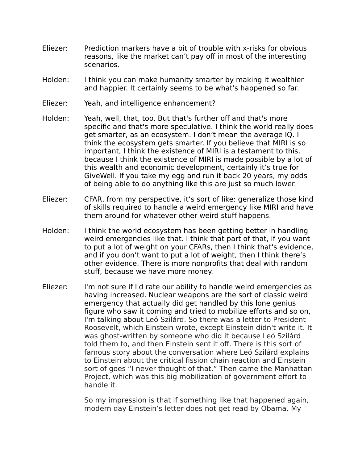- Eliezer: Prediction markers have a bit of trouble with x-risks for obvious reasons, like the market can't pay off in most of the interesting scenarios.
- Holden: I think you can make humanity smarter by making it wealthier and happier. It certainly seems to be what's happened so far.
- Eliezer: Yeah, and intelligence enhancement?
- Holden: Yeah, well, that, too. But that's further off and that's more specific and that's more speculative. I think the world really does get smarter, as an ecosystem. I don't mean the average IQ. I think the ecosystem gets smarter. If you believe that MIRI is so important, I think the existence of MIRI is a testament to this, because I think the existence of MIRI is made possible by a lot of this wealth and economic development, certainly it's true for GiveWell. If you take my egg and run it back 20 years, my odds of being able to do anything like this are just so much lower.
- Eliezer: CFAR, from my perspective, it's sort of like: generalize those kind of skills required to handle a weird emergency like MIRI and have them around for whatever other weird stuff happens.
- Holden: I think the world ecosystem has been getting better in handling weird emergencies like that. I think that part of that, if you want to put a lot of weight on your CFARs, then I think that's evidence, and if you don't want to put a lot of weight, then I think there's other evidence. There is more nonprofits that deal with random stuff, because we have more money.
- Eliezer: I'm not sure if I'd rate our ability to handle weird emergencies as having increased. Nuclear weapons are the sort of classic weird emergency that actually did get handled by this lone genius figure who saw it coming and tried to mobilize efforts and so on, I'm talking about Leó Szilárd. So there was a letter to President Roosevelt, which Einstein wrote, except Einstein didn't write it. It was ghost-written by someone who did it because Leó Szilárd told them to, and then Einstein sent it off. There is this sort of famous story about the conversation where Leó Szilárd explains to Einstein about the critical fission chain reaction and Einstein sort of goes "I never thought of that." Then came the Manhattan Project, which was this big mobilization of government effort to handle it.

So my impression is that if something like that happened again, modern day Einstein's letter does not get read by Obama. My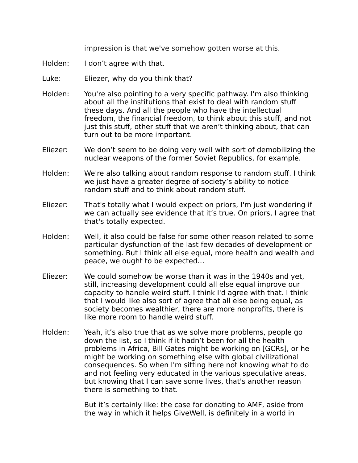impression is that we've somehow gotten worse at this.

- Holden: I don't agree with that.
- Luke: Eliezer, why do you think that?
- Holden: You're also pointing to a very specific pathway. I'm also thinking about all the institutions that exist to deal with random stuff these days. And all the people who have the intellectual freedom, the financial freedom, to think about this stuff, and not just this stuff, other stuff that we aren't thinking about, that can turn out to be more important.
- Eliezer: We don't seem to be doing very well with sort of demobilizing the nuclear weapons of the former Soviet Republics, for example.
- Holden: We're also talking about random response to random stuff. I think we just have a greater degree of society's ability to notice random stuff and to think about random stuff.
- Eliezer: That's totally what I would expect on priors, I'm just wondering if we can actually see evidence that it's true. On priors, I agree that that's totally expected.
- Holden: Well, it also could be false for some other reason related to some particular dysfunction of the last few decades of development or something. But I think all else equal, more health and wealth and peace, we ought to be expected…
- Eliezer: We could somehow be worse than it was in the 1940s and yet, still, increasing development could all else equal improve our capacity to handle weird stuff. I think I'd agree with that. I think that I would like also sort of agree that all else being equal, as society becomes wealthier, there are more nonprofits, there is like more room to handle weird stuff.
- Holden: Yeah, it's also true that as we solve more problems, people go down the list, so I think if it hadn't been for all the health problems in Africa, Bill Gates might be working on [GCRs], or he might be working on something else with global civilizational consequences. So when I'm sitting here not knowing what to do and not feeling very educated in the various speculative areas, but knowing that I can save some lives, that's another reason there is something to that.

But it's certainly like: the case for donating to AMF, aside from the way in which it helps GiveWell, is definitely in a world in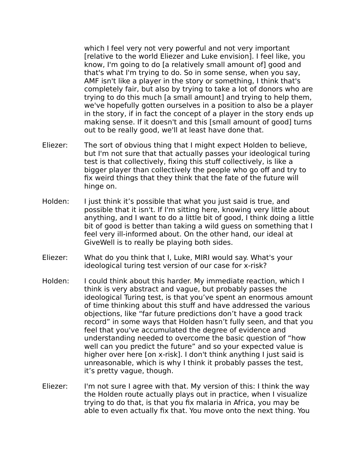which I feel very not very powerful and not very important [relative to the world Eliezer and Luke envision]. I feel like, you know, I'm going to do [a relatively small amount of] good and that's what I'm trying to do. So in some sense, when you say, AMF isn't like a player in the story or something, I think that's completely fair, but also by trying to take a lot of donors who are trying to do this much [a small amount] and trying to help them, we've hopefully gotten ourselves in a position to also be a player in the story, if in fact the concept of a player in the story ends up making sense. If it doesn't and this [small amount of good] turns out to be really good, we'll at least have done that.

- Eliezer: The sort of obvious thing that I might expect Holden to believe, but I'm not sure that that actually passes your ideological turing test is that collectively, fixing this stuff collectively, is like a bigger player than collectively the people who go off and try to fix weird things that they think that the fate of the future will hinge on.
- Holden: I just think it's possible that what you just said is true, and possible that it isn't. If I'm sitting here, knowing very little about anything, and I want to do a little bit of good, I think doing a little bit of good is better than taking a wild guess on something that I feel very ill-informed about. On the other hand, our ideal at GiveWell is to really be playing both sides.
- Eliezer: What do you think that I, Luke, MIRI would say. What's your ideological turing test version of our case for x-risk?
- Holden: I could think about this harder. My immediate reaction, which I think is very abstract and vague, but probably passes the ideological Turing test, is that you've spent an enormous amount of time thinking about this stuff and have addressed the various objections, like "far future predictions don't have a good track record" in some ways that Holden hasn't fully seen, and that you feel that you've accumulated the degree of evidence and understanding needed to overcome the basic question of "how well can you predict the future" and so your expected value is higher over here [on x-risk]. I don't think anything I just said is unreasonable, which is why I think it probably passes the test, it's pretty vague, though.
- Eliezer: I'm not sure I agree with that. My version of this: I think the way the Holden route actually plays out in practice, when I visualize trying to do that, is that you fix malaria in Africa, you may be able to even actually fix that. You move onto the next thing. You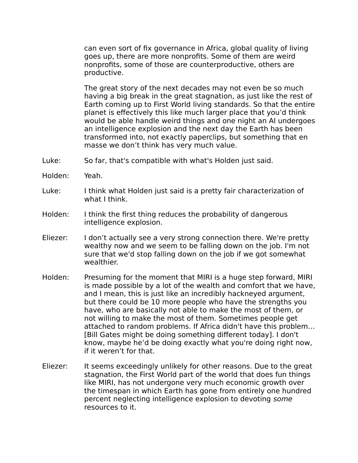can even sort of fix governance in Africa, global quality of living goes up, there are more nonprofits. Some of them are weird nonprofits, some of those are counterproductive, others are productive.

The great story of the next decades may not even be so much having a big break in the great stagnation, as just like the rest of Earth coming up to First World living standards. So that the entire planet is effectively this like much larger place that you'd think would be able handle weird things and one night an AI undergoes an intelligence explosion and the next day the Earth has been transformed into, not exactly paperclips, but something that en masse we don't think has very much value.

- Luke: So far, that's compatible with what's Holden just said.
- Holden: Yeah.
- Luke: I think what Holden just said is a pretty fair characterization of what I think.
- Holden: I think the first thing reduces the probability of dangerous intelligence explosion.
- Eliezer: I don't actually see a very strong connection there. We're pretty wealthy now and we seem to be falling down on the job. I'm not sure that we'd stop falling down on the job if we got somewhat wealthier.
- Holden: Presuming for the moment that MIRI is a huge step forward, MIRI is made possible by a lot of the wealth and comfort that we have, and I mean, this is just like an incredibly hackneyed argument, but there could be 10 more people who have the strengths you have, who are basically not able to make the most of them, or not willing to make the most of them. Sometimes people get attached to random problems. If Africa didn't have this problem… [Bill Gates might be doing something different today]. I don't know, maybe he'd be doing exactly what you're doing right now, if it weren't for that.
- Eliezer: It seems exceedingly unlikely for other reasons. Due to the great stagnation, the First World part of the world that does fun things like MIRI, has not undergone very much economic growth over the timespan in which Earth has gone from entirely one hundred percent neglecting intelligence explosion to devoting some resources to it.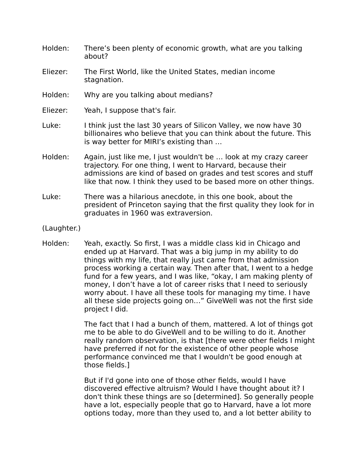- Holden: There's been plenty of economic growth, what are you talking about?
- Eliezer: The First World, like the United States, median income stagnation.
- Holden: Why are you talking about medians?
- Eliezer: Yeah, I suppose that's fair.
- Luke: I think just the last 30 years of Silicon Valley, we now have 30 billionaires who believe that you can think about the future. This is way better for MIRI's existing than …
- Holden: Again, just like me, I just wouldn't be … look at my crazy career trajectory. For one thing, I went to Harvard, because their admissions are kind of based on grades and test scores and stuff like that now. I think they used to be based more on other things.
- Luke: There was a hilarious anecdote, in this one book, about the president of Princeton saying that the first quality they look for in graduates in 1960 was extraversion.
- (Laughter.)
- Holden: Yeah, exactly. So first, I was a middle class kid in Chicago and ended up at Harvard. That was a big jump in my ability to do things with my life, that really just came from that admission process working a certain way. Then after that, I went to a hedge fund for a few years, and I was like, "okay, I am making plenty of money, I don't have a lot of career risks that I need to seriously worry about. I have all these tools for managing my time. I have all these side projects going on…" GiveWell was not the first side project I did.

The fact that I had a bunch of them, mattered. A lot of things got me to be able to do GiveWell and to be willing to do it. Another really random observation, is that [there were other fields I might have preferred if not for the existence of other people whose performance convinced me that I wouldn't be good enough at those fields.]

But if I'd gone into one of those other fields, would I have discovered effective altruism? Would I have thought about it? I don't think these things are so [determined]. So generally people have a lot, especially people that go to Harvard, have a lot more options today, more than they used to, and a lot better ability to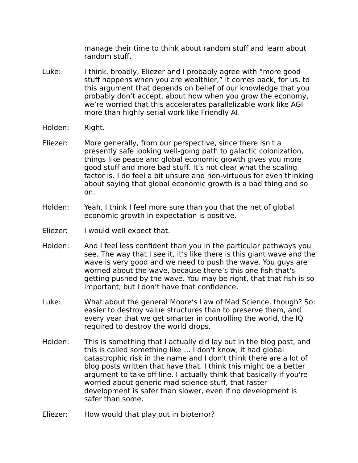manage their time to think about random stuff and learn about random stuff.

- Luke: I think, broadly, Eliezer and I probably agree with "more good stuff happens when you are wealthier," it comes back, for us, to this argument that depends on belief of our knowledge that you probably don't accept, about how when you grow the economy, we're worried that this accelerates parallelizable work like AGI more than highly serial work like Friendly AI.
- Holden: Right.
- Eliezer: More generally, from our perspective, since there isn't a presently safe looking well-going path to galactic colonization, things like peace and global economic growth gives you more good stuff and more bad stuff. It's not clear what the scaling factor is. I do feel a bit unsure and non-virtuous for even thinking about saying that global economic growth is a bad thing and so on.
- Holden: Yeah, I think I feel more sure than you that the net of global economic growth in expectation is positive.
- Eliezer: I would well expect that.
- Holden: And I feel less confident than you in the particular pathways you see. The way that I see it, it's like there is this giant wave and the wave is very good and we need to push the wave. You guys are worried about the wave, because there's this one fish that's getting pushed by the wave. You may be right, that that fish is so important, but I don't have that confidence.
- Luke: What about the general Moore's Law of Mad Science, though? So: easier to destroy value structures than to preserve them, and every year that we get smarter in controlling the world, the IQ required to destroy the world drops.
- Holden: This is something that I actually did lay out in the blog post, and this is called something like … I don't know, it had global catastrophic risk in the name and I don't think there are a lot of blog posts written that have that. I think this might be a better argument to take off line. I actually think that basically if you're worried about generic mad science stuff, that faster development is safer than slower, even if no development is safer than some.
- Eliezer: How would that play out in bioterror?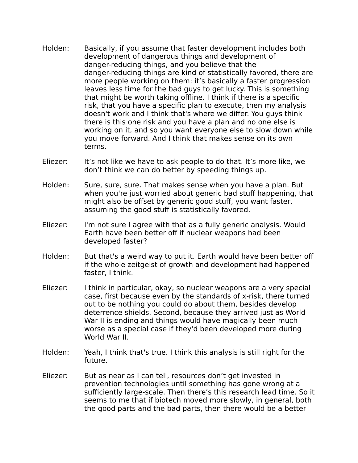- Holden: Basically, if you assume that faster development includes both development of dangerous things and development of danger-reducing things, and you believe that the danger-reducing things are kind of statistically favored, there are more people working on them: it's basically a faster progression leaves less time for the bad guys to get lucky. This is something that might be worth taking offline. I think if there is a specific risk, that you have a specific plan to execute, then my analysis doesn't work and I think that's where we differ. You guys think there is this one risk and you have a plan and no one else is working on it, and so you want everyone else to slow down while you move forward. And I think that makes sense on its own terms.
- Eliezer: It's not like we have to ask people to do that. It's more like, we don't think we can do better by speeding things up.
- Holden: Sure, sure, sure. That makes sense when you have a plan. But when you're just worried about generic bad stuff happening, that might also be offset by generic good stuff, you want faster, assuming the good stuff is statistically favored.
- Eliezer: I'm not sure I agree with that as a fully generic analysis. Would Earth have been better off if nuclear weapons had been developed faster?
- Holden: But that's a weird way to put it. Earth would have been better off if the whole zeitgeist of growth and development had happened faster, I think.
- Eliezer: I think in particular, okay, so nuclear weapons are a very special case, first because even by the standards of x-risk, there turned out to be nothing you could do about them, besides develop deterrence shields. Second, because they arrived just as World War II is ending and things would have magically been much worse as a special case if they'd been developed more during World War II.
- Holden: Yeah, I think that's true. I think this analysis is still right for the future.
- Eliezer: But as near as I can tell, resources don't get invested in prevention technologies until something has gone wrong at a sufficiently large-scale. Then there's this research lead time. So it seems to me that if biotech moved more slowly, in general, both the good parts and the bad parts, then there would be a better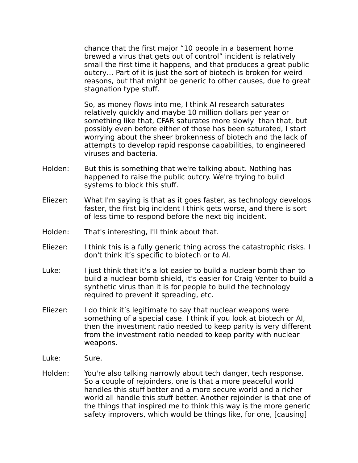chance that the first major "10 people in a basement home brewed a virus that gets out of control" incident is relatively small the first time it happens, and that produces a great public outcry… Part of it is just the sort of biotech is broken for weird reasons, but that might be generic to other causes, due to great stagnation type stuff.

So, as money flows into me, I think AI research saturates relatively quickly and maybe 10 million dollars per year or something like that, CFAR saturates more slowly than that, but possibly even before either of those has been saturated, I start worrying about the sheer brokenness of biotech and the lack of attempts to develop rapid response capabilities, to engineered viruses and bacteria.

- Holden: But this is something that we're talking about. Nothing has happened to raise the public outcry. We're trying to build systems to block this stuff.
- Eliezer: What I'm saying is that as it goes faster, as technology develops faster, the first big incident I think gets worse, and there is sort of less time to respond before the next big incident.
- Holden: That's interesting, I'll think about that.
- Eliezer: I think this is a fully generic thing across the catastrophic risks. I don't think it's specific to biotech or to AI.
- Luke: I just think that it's a lot easier to build a nuclear bomb than to build a nuclear bomb shield, it's easier for Craig Venter to build a synthetic virus than it is for people to build the technology required to prevent it spreading, etc.
- Eliezer: I do think it's legitimate to say that nuclear weapons were something of a special case. I think if you look at biotech or AI, then the investment ratio needed to keep parity is very different from the investment ratio needed to keep parity with nuclear weapons.
- Luke: Sure.
- Holden: You're also talking narrowly about tech danger, tech response. So a couple of rejoinders, one is that a more peaceful world handles this stuff better and a more secure world and a richer world all handle this stuff better. Another rejoinder is that one of the things that inspired me to think this way is the more generic safety improvers, which would be things like, for one, [causing]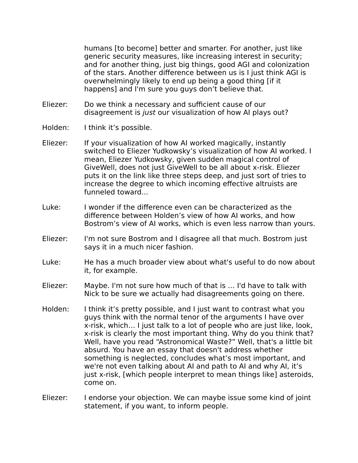humans [to become] better and smarter. For another, just like generic security measures, like increasing interest in security; and for another thing, just big things, good AGI and colonization of the stars. Another difference between us is I just think AGI is overwhelmingly likely to end up being a good thing [if it happens] and I'm sure you guys don't believe that.

- Eliezer: Do we think a necessary and sufficient cause of our disagreement is just our visualization of how AI plays out?
- Holden: I think it's possible.
- Eliezer: If your visualization of how AI worked magically, instantly switched to Eliezer Yudkowsky's visualization of how AI worked. I mean, Eliezer Yudkowsky, given sudden magical control of GiveWell, does not just GiveWell to be all about x-risk. Eliezer puts it on the link like three steps deep, and just sort of tries to increase the degree to which incoming effective altruists are funneled toward...
- Luke: I wonder if the difference even can be characterized as the difference between Holden's view of how AI works, and how Bostrom's view of AI works, which is even less narrow than yours.
- Eliezer: I'm not sure Bostrom and I disagree all that much. Bostrom just says it in a much nicer fashion.
- Luke: He has a much broader view about what's useful to do now about it, for example.
- Eliezer: Maybe. I'm not sure how much of that is … I'd have to talk with Nick to be sure we actually had disagreements going on there.
- Holden: I think it's pretty possible, and I just want to contrast what you guys think with the normal tenor of the arguments I have over x-risk, which… I just talk to a lot of people who are just like, look, x-risk is clearly the most important thing. Why do you think that? Well, have you read "Astronomical Waste?" Well, that's a little bit absurd. You have an essay that doesn't address whether something is neglected, concludes what's most important, and we're not even talking about AI and path to AI and why AI, it's just x-risk, [which people interpret to mean things like] asteroids, come on.
- Eliezer: I endorse your objection. We can maybe issue some kind of joint statement, if you want, to inform people.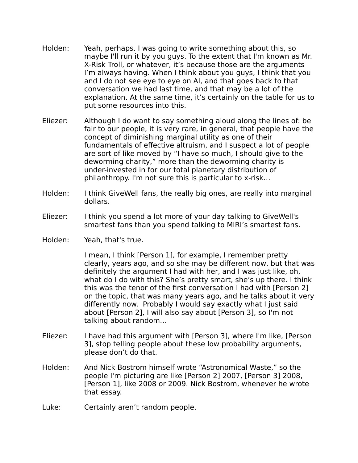- Holden: Yeah, perhaps. I was going to write something about this, so maybe I'll run it by you guys. To the extent that I'm known as Mr. X-Risk Troll, or whatever, it's because those are the arguments I'm always having. When I think about you guys, I think that you and I do not see eye to eye on AI, and that goes back to that conversation we had last time, and that may be a lot of the explanation. At the same time, it's certainly on the table for us to put some resources into this.
- Eliezer: Although I do want to say something aloud along the lines of: be fair to our people, it is very rare, in general, that people have the concept of diminishing marginal utility as one of their fundamentals of effective altruism, and I suspect a lot of people are sort of like moved by "I have so much, I should give to the deworming charity," more than the deworming charity is under-invested in for our total planetary distribution of philanthropy. I'm not sure this is particular to x-risk…
- Holden: I think GiveWell fans, the really big ones, are really into marginal dollars.
- Eliezer: I think you spend a lot more of your day talking to GiveWell's smartest fans than you spend talking to MIRI's smartest fans.
- Holden: Yeah, that's true.

I mean, I think [Person 1], for example, I remember pretty clearly, years ago, and so she may be different now, but that was definitely the argument I had with her, and I was just like, oh, what do I do with this? She's pretty smart, she's up there. I think this was the tenor of the first conversation I had with [Person 2] on the topic, that was many years ago, and he talks about it very differently now. Probably I would say exactly what I just said about [Person 2], I will also say about [Person 3], so I'm not talking about random…

- Eliezer: I have had this argument with [Person 3], where I'm like, [Person 3], stop telling people about these low probability arguments, please don't do that.
- Holden: And Nick Bostrom himself wrote "Astronomical Waste," so the people I'm picturing are like [Person 2] 2007, [Person 3] 2008, [Person 1], like 2008 or 2009. Nick Bostrom, whenever he wrote that essay.
- Luke: Certainly aren't random people.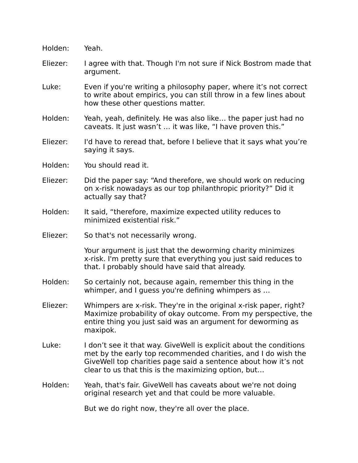| Holden:  | Yeah.                                                                                                                                                                                                                                                         |
|----------|---------------------------------------------------------------------------------------------------------------------------------------------------------------------------------------------------------------------------------------------------------------|
| Eliezer: | I agree with that. Though I'm not sure if Nick Bostrom made that<br>argument.                                                                                                                                                                                 |
| Luke:    | Even if you're writing a philosophy paper, where it's not correct<br>to write about empirics, you can still throw in a few lines about<br>how these other questions matter.                                                                                   |
| Holden:  | Yeah, yeah, definitely. He was also like the paper just had no<br>caveats. It just wasn't  it was like, "I have proven this."                                                                                                                                 |
| Eliezer: | I'd have to reread that, before I believe that it says what you're<br>saying it says.                                                                                                                                                                         |
| Holden:  | You should read it.                                                                                                                                                                                                                                           |
| Eliezer: | Did the paper say: "And therefore, we should work on reducing<br>on x-risk nowadays as our top philanthropic priority?" Did it<br>actually say that?                                                                                                          |
| Holden:  | It said, "therefore, maximize expected utility reduces to<br>minimized existential risk."                                                                                                                                                                     |
| Eliezer: | So that's not necessarily wrong.                                                                                                                                                                                                                              |
|          | Your argument is just that the deworming charity minimizes<br>x-risk. I'm pretty sure that everything you just said reduces to<br>that. I probably should have said that already.                                                                             |
| Holden:  | So certainly not, because again, remember this thing in the<br>whimper, and I guess you're defining whimpers as                                                                                                                                               |
| Eliezer: | Whimpers are x-risk. They're in the original x-risk paper, right?<br>Maximize probability of okay outcome. From my perspective, the<br>entire thing you just said was an argument for deworming as<br>maxipok.                                                |
| Luke:    | I don't see it that way. Give Well is explicit about the conditions<br>met by the early top recommended charities, and I do wish the<br>GiveWell top charities page said a sentence about how it's not<br>clear to us that this is the maximizing option, but |
| Holden:  | Yeah, that's fair. GiveWell has caveats about we're not doing<br>original research yet and that could be more valuable.                                                                                                                                       |
|          | But we do right now, they're all over the place.                                                                                                                                                                                                              |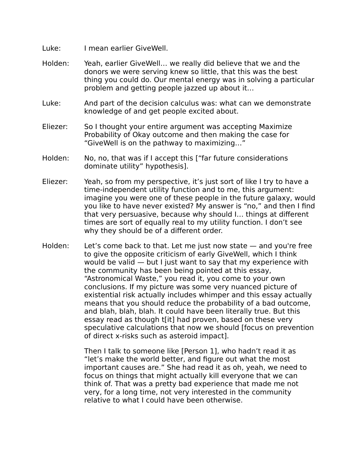- Luke: I mean earlier GiveWell.
- Holden: Yeah, earlier GiveWell… we really did believe that we and the donors we were serving knew so little, that this was the best thing you could do. Our mental energy was in solving a particular problem and getting people jazzed up about it…
- Luke: And part of the decision calculus was: what can we demonstrate knowledge of and get people excited about.
- Eliezer: So I thought your entire argument was accepting Maximize Probability of Okay outcome and then making the case for "GiveWell is on the pathway to maximizing…"
- Holden: No, no, that was if I accept this ["far future considerations dominate utility" hypothesis].
- Eliezer: Yeah, so from my perspective, it's just sort of like I try to have a time-independent utility function and to me, this argument: imagine you were one of these people in the future galaxy, would you like to have never existed? My answer is "no," and then I find that very persuasive, because why should I… things at different times are sort of equally real to my utility function. I don't see why they should be of a different order.
- Holden: Let's come back to that. Let me just now state and you're free to give the opposite criticism of early GiveWell, which I think would be valid — but I just want to say that my experience with the community has been being pointed at this essay, "Astronomical Waste," you read it, you come to your own conclusions. If my picture was some very nuanced picture of existential risk actually includes whimper and this essay actually means that you should reduce the probability of a bad outcome, and blah, blah, blah. It could have been literally true. But this essay read as though t[it] had proven, based on these very speculative calculations that now we should [focus on prevention of direct x-risks such as asteroid impact].

Then I talk to someone like [Person 1], who hadn't read it as "let's make the world better, and figure out what the most important causes are." She had read it as oh, yeah, we need to focus on things that might actually kill everyone that we can think of. That was a pretty bad experience that made me not very, for a long time, not very interested in the community relative to what I could have been otherwise.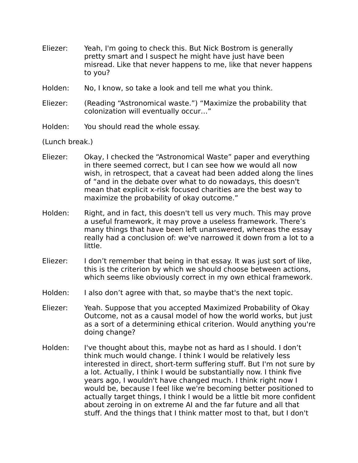- Eliezer: Yeah, I'm going to check this. But Nick Bostrom is generally pretty smart and I suspect he might have just have been misread. Like that never happens to me, like that never happens to you?
- Holden: No, I know, so take a look and tell me what you think.
- Eliezer: (Reading "Astronomical waste.") "Maximize the probability that colonization will eventually occur…"
- Holden: You should read the whole essay.

(Lunch break.)

- Eliezer: Okay, I checked the "Astronomical Waste" paper and everything in there seemed correct, but I can see how we would all now wish, in retrospect, that a caveat had been added along the lines of "and in the debate over what to do nowadays, this doesn't mean that explicit x-risk focused charities are the best way to maximize the probability of okay outcome."
- Holden: Right, and in fact, this doesn't tell us very much. This may prove a useful framework, it may prove a useless framework. There's many things that have been left unanswered, whereas the essay really had a conclusion of: we've narrowed it down from a lot to a little.
- Eliezer: I don't remember that being in that essay. It was just sort of like, this is the criterion by which we should choose between actions, which seems like obviously correct in my own ethical framework.
- Holden: I also don't agree with that, so maybe that's the next topic.
- Eliezer: Yeah. Suppose that you accepted Maximized Probability of Okay Outcome, not as a causal model of how the world works, but just as a sort of a determining ethical criterion. Would anything you're doing change?
- Holden: I've thought about this, maybe not as hard as I should. I don't think much would change. I think I would be relatively less interested in direct, short-term suffering stuff. But I'm not sure by a lot. Actually, I think I would be substantially now. I think five years ago, I wouldn't have changed much. I think right now I would be, because I feel like we're becoming better positioned to actually target things, I think I would be a little bit more confident about zeroing in on extreme AI and the far future and all that stuff. And the things that I think matter most to that, but I don't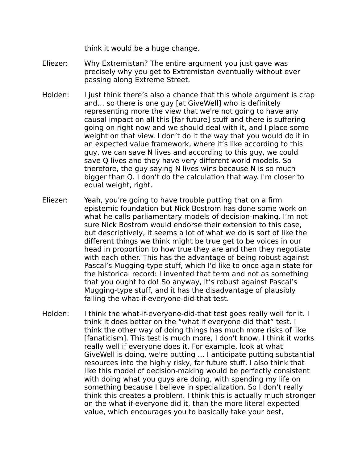think it would be a huge change.

- Eliezer: Why Extremistan? The entire argument you just gave was precisely why you get to Extremistan eventually without ever passing along Extreme Street.
- Holden: I just think there's also a chance that this whole argument is crap and… so there is one guy [at GiveWell] who is definitely representing more the view that we're not going to have any causal impact on all this [far future] stuff and there is suffering going on right now and we should deal with it, and I place some weight on that view. I don't do it the way that you would do it in an expected value framework, where it's like according to this guy, we can save N lives and according to this guy, we could save Q lives and they have very different world models. So therefore, the guy saying N lives wins because N is so much bigger than Q. I don't do the calculation that way. I'm closer to equal weight, right.
- Eliezer: Yeah, you're going to have trouble putting that on a firm epistemic foundation but Nick Bostrom has done some work on what he calls parliamentary models of decision-making. I'm not sure Nick Bostrom would endorse their extension to this case, but descriptively, it seems a lot of what we do is sort of like the different things we think might be true get to be voices in our head in proportion to how true they are and then they negotiate with each other. This has the advantage of being robust against Pascal's Mugging-type stuff, which I'd like to once again state for the historical record: I invented that term and not as something that you ought to do! So anyway, it's robust against Pascal's Mugging-type stuff, and it has the disadvantage of plausibly failing the what-if-everyone-did-that test.
- Holden: I think the what-if-everyone-did-that test goes really well for it. I think it does better on the "what if everyone did that" test. I think the other way of doing things has much more risks of like [fanaticism]. This test is much more, I don't know, I think it works really well if everyone does it. For example, look at what GiveWell is doing, we're putting … I anticipate putting substantial resources into the highly risky, far future stuff. I also think that like this model of decision-making would be perfectly consistent with doing what you guys are doing, with spending my life on something because I believe in specialization. So I don't really think this creates a problem. I think this is actually much stronger on the what-if-everyone did it, than the more literal expected value, which encourages you to basically take your best,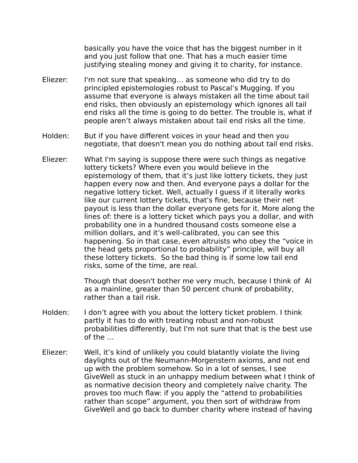basically you have the voice that has the biggest number in it and you just follow that one. That has a much easier time justifying stealing money and giving it to charity, for instance.

- Eliezer: I'm not sure that speaking… as someone who did try to do principled epistemologies robust to Pascal's Mugging. If you assume that everyone is always mistaken all the time about tail end risks, then obviously an epistemology which ignores all tail end risks all the time is going to do better. The trouble is, what if people aren't always mistaken about tail end risks all the time.
- Holden: But if you have different voices in your head and then you negotiate, that doesn't mean you do nothing about tail end risks.
- Eliezer: What I'm saying is suppose there were such things as negative lottery tickets? Where even you would believe in the epistemology of them, that it's just like lottery tickets, they just happen every now and then. And everyone pays a dollar for the negative lottery ticket. Well, actually I guess if it literally works like our current lottery tickets, that's fine, because their net payout is less than the dollar everyone gets for it. More along the lines of: there is a lottery ticket which pays you a dollar, and with probability one in a hundred thousand costs someone else a million dollars, and it's well-calibrated, you can see this happening. So in that case, even altruists who obey the "voice in the head gets proportional to probability" principle, will buy all these lottery tickets. So the bad thing is if some low tail end risks, some of the time, are real.

Though that doesn't bother me very much, because I think of AI as a mainline, greater than 50 percent chunk of probability, rather than a tail risk.

- Holden: I don't agree with you about the lottery ticket problem. I think partly it has to do with treating robust and non-robust probabilities differently, but I'm not sure that that is the best use of the …
- Eliezer: Well, it's kind of unlikely you could blatantly violate the living daylights out of the Neumann-Morgenstern axioms, and not end up with the problem somehow. So in a lot of senses, I see GiveWell as stuck in an unhappy medium between what I think of as normative decision theory and completely naïve charity. The proves too much flaw: if you apply the "attend to probabilities rather than scope" argument, you then sort of withdraw from GiveWell and go back to dumber charity where instead of having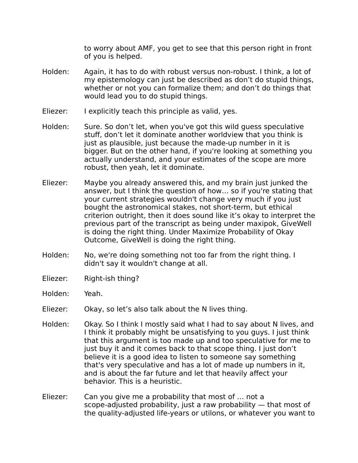to worry about AMF, you get to see that this person right in front of you is helped.

- Holden: Again, it has to do with robust versus non-robust. I think, a lot of my epistemology can just be described as don't do stupid things, whether or not you can formalize them; and don't do things that would lead you to do stupid things.
- Eliezer: I explicitly teach this principle as valid, yes.
- Holden: Sure. So don't let, when you've got this wild guess speculative stuff, don't let it dominate another worldview that you think is just as plausible, just because the made-up number in it is bigger. But on the other hand, if you're looking at something you actually understand, and your estimates of the scope are more robust, then yeah, let it dominate.
- Eliezer: Maybe you already answered this, and my brain just junked the answer, but I think the question of how… so if you're stating that your current strategies wouldn't change very much if you just bought the astronomical stakes, not short-term, but ethical criterion outright, then it does sound like it's okay to interpret the previous part of the transcript as being under maxipok, GiveWell is doing the right thing. Under Maximize Probability of Okay Outcome, GiveWell is doing the right thing.
- Holden: No, we're doing something not too far from the right thing. I didn't say it wouldn't change at all.
- Eliezer: Right-ish thing?
- Holden: Yeah.
- Eliezer: Okay, so let's also talk about the N lives thing.
- Holden: Okay. So I think I mostly said what I had to say about N lives, and I think it probably might be unsatisfying to you guys. I just think that this argument is too made up and too speculative for me to just buy it and it comes back to that scope thing. I just don't believe it is a good idea to listen to someone say something that's very speculative and has a lot of made up numbers in it, and is about the far future and let that heavily affect your behavior. This is a heuristic.
- Eliezer: Can you give me a probability that most of … not a scope-adjusted probability, just a raw probability — that most of the quality-adjusted life-years or utilons, or whatever you want to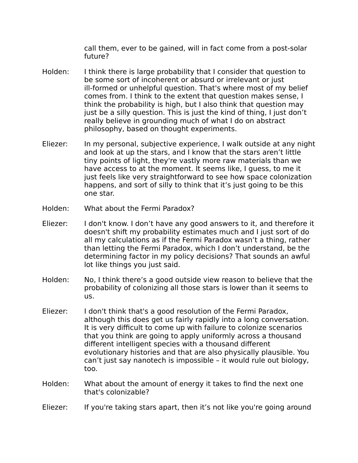call them, ever to be gained, will in fact come from a post-solar future?

- Holden: I think there is large probability that I consider that question to be some sort of incoherent or absurd or irrelevant or just ill-formed or unhelpful question. That's where most of my belief comes from. I think to the extent that question makes sense, I think the probability is high, but I also think that question may just be a silly question. This is just the kind of thing, I just don't really believe in grounding much of what I do on abstract philosophy, based on thought experiments.
- Eliezer: In my personal, subjective experience, I walk outside at any night and look at up the stars, and I know that the stars aren't little tiny points of light, they're vastly more raw materials than we have access to at the moment. It seems like, I guess, to me it just feels like very straightforward to see how space colonization happens, and sort of silly to think that it's just going to be this one star.
- Holden: What about the Fermi Paradox?
- Eliezer: I don't know. I don't have any good answers to it, and therefore it doesn't shift my probability estimates much and I just sort of do all my calculations as if the Fermi Paradox wasn't a thing, rather than letting the Fermi Paradox, which I don't understand, be the determining factor in my policy decisions? That sounds an awful lot like things you just said.
- Holden: No, I think there's a good outside view reason to believe that the probability of colonizing all those stars is lower than it seems to us.
- Eliezer: I don't think that's a good resolution of the Fermi Paradox, although this does get us fairly rapidly into a long conversation. It is very difficult to come up with failure to colonize scenarios that you think are going to apply uniformly across a thousand different intelligent species with a thousand different evolutionary histories and that are also physically plausible. You can't just say nanotech is impossible – it would rule out biology, too.
- Holden: What about the amount of energy it takes to find the next one that's colonizable?
- Eliezer: If you're taking stars apart, then it's not like you're going around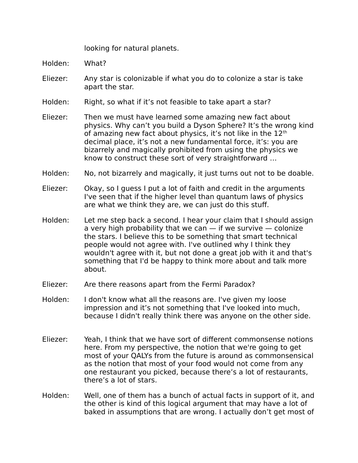looking for natural planets.

Holden: What?

- Eliezer: Any star is colonizable if what you do to colonize a star is take apart the star.
- Holden: Right, so what if it's not feasible to take apart a star?
- Eliezer: Then we must have learned some amazing new fact about physics. Why can't you build a Dyson Sphere? It's the wrong kind of amazing new fact about physics, it's not like in the  $12<sup>th</sup>$ decimal place, it's not a new fundamental force, it's: you are bizarrely and magically prohibited from using the physics we know to construct these sort of very straightforward …
- Holden: No, not bizarrely and magically, it just turns out not to be doable.
- Eliezer: Okay, so I guess I put a lot of faith and credit in the arguments I've seen that if the higher level than quantum laws of physics are what we think they are, we can just do this stuff.
- Holden: Let me step back a second. I hear your claim that I should assign a very high probability that we can  $-$  if we survive  $-$  colonize the stars. I believe this to be something that smart technical people would not agree with. I've outlined why I think they wouldn't agree with it, but not done a great job with it and that's something that I'd be happy to think more about and talk more about.
- Eliezer: Are there reasons apart from the Fermi Paradox?
- Holden: I don't know what all the reasons are. I've given my loose impression and it's not something that I've looked into much, because I didn't really think there was anyone on the other side.
- Eliezer: Yeah, I think that we have sort of different commonsense notions here. From my perspective, the notion that we're going to get most of your QALYs from the future is around as commonsensical as the notion that most of your food would not come from any one restaurant you picked, because there's a lot of restaurants, there's a lot of stars.
- Holden: Well, one of them has a bunch of actual facts in support of it, and the other is kind of this logical argument that may have a lot of baked in assumptions that are wrong. I actually don't get most of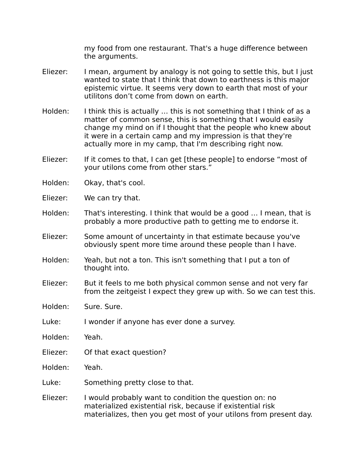my food from one restaurant. That's a huge difference between the arguments.

- Eliezer: I mean, argument by analogy is not going to settle this, but I just wanted to state that I think that down to earthness is this major epistemic virtue. It seems very down to earth that most of your utilitons don't come from down on earth.
- Holden: I think this is actually ... this is not something that I think of as a matter of common sense, this is something that I would easily change my mind on if I thought that the people who knew about it were in a certain camp and my impression is that they're actually more in my camp, that I'm describing right now.
- Eliezer: If it comes to that, I can get [these people] to endorse "most of your utilons come from other stars."
- Holden: Okay, that's cool.
- Eliezer: We can try that.
- Holden: That's interesting. I think that would be a good … I mean, that is probably a more productive path to getting me to endorse it.
- Eliezer: Some amount of uncertainty in that estimate because you've obviously spent more time around these people than I have.
- Holden: Yeah, but not a ton. This isn't something that I put a ton of thought into.
- Eliezer: But it feels to me both physical common sense and not very far from the zeitgeist I expect they grew up with. So we can test this.
- Holden: Sure. Sure.
- Luke: I wonder if anyone has ever done a survey.
- Holden: Yeah.
- Eliezer: Of that exact question?
- Holden: Yeah.
- Luke: Something pretty close to that.
- Eliezer: I would probably want to condition the question on: no materialized existential risk, because if existential risk materializes, then you get most of your utilons from present day.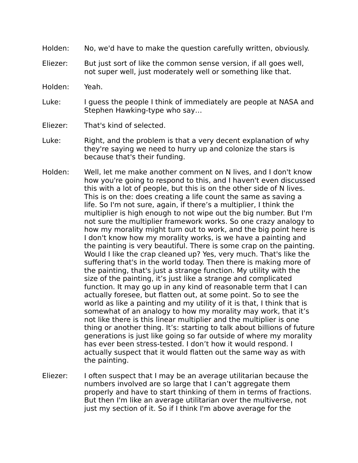- Holden: No, we'd have to make the question carefully written, obviously.
- Eliezer: But just sort of like the common sense version, if all goes well, not super well, just moderately well or something like that.
- Holden: Yeah.
- Luke: I guess the people I think of immediately are people at NASA and Stephen Hawking-type who say…
- Eliezer: That's kind of selected.
- Luke: Right, and the problem is that a very decent explanation of why they're saying we need to hurry up and colonize the stars is because that's their funding.
- Holden: Well, let me make another comment on N lives, and I don't know how you're going to respond to this, and I haven't even discussed this with a lot of people, but this is on the other side of N lives. This is on the: does creating a life count the same as saving a life. So I'm not sure, again, if there's a multiplier, I think the multiplier is high enough to not wipe out the big number. But I'm not sure the multiplier framework works. So one crazy analogy to how my morality might turn out to work, and the big point here is I don't know how my morality works, is we have a painting and the painting is very beautiful. There is some crap on the painting. Would I like the crap cleaned up? Yes, very much. That's like the suffering that's in the world today. Then there is making more of the painting, that's just a strange function. My utility with the size of the painting, it's just like a strange and complicated function. It may go up in any kind of reasonable term that I can actually foresee, but flatten out, at some point. So to see the world as like a painting and my utility of it is that, I think that is somewhat of an analogy to how my morality may work, that it's not like there is this linear multiplier and the multiplier is one thing or another thing. It's: starting to talk about billions of future generations is just like going so far outside of where my morality has ever been stress-tested. I don't how it would respond. I actually suspect that it would flatten out the same way as with the painting.
- Eliezer: I often suspect that I may be an average utilitarian because the numbers involved are so large that I can't aggregate them properly and have to start thinking of them in terms of fractions. But then I'm like an average utilitarian over the multiverse, not just my section of it. So if I think I'm above average for the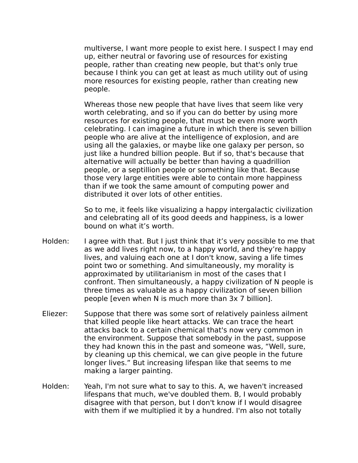multiverse, I want more people to exist here. I suspect I may end up, either neutral or favoring use of resources for existing people, rather than creating new people, but that's only true because I think you can get at least as much utility out of using more resources for existing people, rather than creating new people.

Whereas those new people that have lives that seem like very worth celebrating, and so if you can do better by using more resources for existing people, that must be even more worth celebrating. I can imagine a future in which there is seven billion people who are alive at the intelligence of explosion, and are using all the galaxies, or maybe like one galaxy per person, so just like a hundred billion people. But if so, that's because that alternative will actually be better than having a quadrillion people, or a septillion people or something like that. Because those very large entities were able to contain more happiness than if we took the same amount of computing power and distributed it over lots of other entities.

So to me, it feels like visualizing a happy intergalactic civilization and celebrating all of its good deeds and happiness, is a lower bound on what it's worth.

- Holden: I agree with that. But I just think that it's very possible to me that as we add lives right now, to a happy world, and they're happy lives, and valuing each one at I don't know, saving a life times point two or something. And simultaneously, my morality is approximated by utilitarianism in most of the cases that I confront. Then simultaneously, a happy civilization of N people is three times as valuable as a happy civilization of seven billion people [even when N is much more than 3x 7 billion].
- Eliezer: Suppose that there was some sort of relatively painless ailment that killed people like heart attacks. We can trace the heart attacks back to a certain chemical that's now very common in the environment. Suppose that somebody in the past, suppose they had known this in the past and someone was, "Well, sure, by cleaning up this chemical, we can give people in the future longer lives." But increasing lifespan like that seems to me making a larger painting.
- Holden: Yeah, I'm not sure what to say to this. A, we haven't increased lifespans that much, we've doubled them. B, I would probably disagree with that person, but I don't know if I would disagree with them if we multiplied it by a hundred. I'm also not totally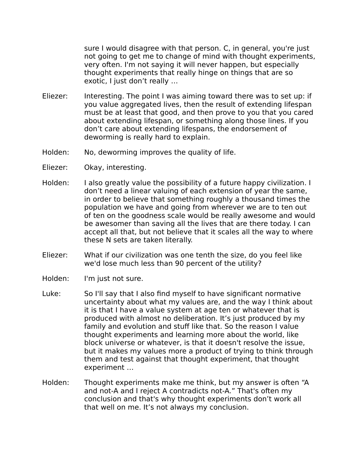sure I would disagree with that person. C, in general, you're just not going to get me to change of mind with thought experiments, very often. I'm not saying it will never happen, but especially thought experiments that really hinge on things that are so exotic, I just don't really …

- Eliezer: Interesting. The point I was aiming toward there was to set up: if you value aggregated lives, then the result of extending lifespan must be at least that good, and then prove to you that you cared about extending lifespan, or something along those lines. If you don't care about extending lifespans, the endorsement of deworming is really hard to explain.
- Holden: No, deworming improves the quality of life.
- Eliezer: Okay, interesting.
- Holden: I also greatly value the possibility of a future happy civilization. I don't need a linear valuing of each extension of year the same, in order to believe that something roughly a thousand times the population we have and going from wherever we are to ten out of ten on the goodness scale would be really awesome and would be awesomer than saving all the lives that are there today. I can accept all that, but not believe that it scales all the way to where these N sets are taken literally.
- Eliezer: What if our civilization was one tenth the size, do you feel like we'd lose much less than 90 percent of the utility?
- Holden: I'm just not sure.
- Luke: So I'll say that I also find myself to have significant normative uncertainty about what my values are, and the way I think about it is that I have a value system at age ten or whatever that is produced with almost no deliberation. It's just produced by my family and evolution and stuff like that. So the reason I value thought experiments and learning more about the world, like block universe or whatever, is that it doesn't resolve the issue, but it makes my values more a product of trying to think through them and test against that thought experiment, that thought experiment …
- Holden: Thought experiments make me think, but my answer is often "A and not-A and I reject A contradicts not-A." That's often my conclusion and that's why thought experiments don't work all that well on me. It's not always my conclusion.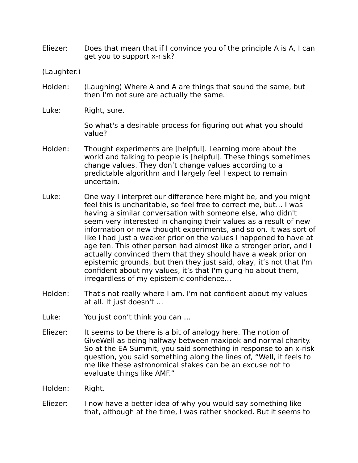Eliezer: Does that mean that if I convince you of the principle A is A, I can get you to support x-risk?

(Laughter.)

- Holden: (Laughing) Where A and A are things that sound the same, but then I'm not sure are actually the same.
- Luke: Right, sure.

So what's a desirable process for figuring out what you should value?

- Holden: Thought experiments are [helpful]. Learning more about the world and talking to people is [helpful]. These things sometimes change values. They don't change values according to a predictable algorithm and I largely feel I expect to remain uncertain.
- Luke: One way I interpret our difference here might be, and you might feel this is uncharitable, so feel free to correct me, but… I was having a similar conversation with someone else, who didn't seem very interested in changing their values as a result of new information or new thought experiments, and so on. It was sort of like I had just a weaker prior on the values I happened to have at age ten. This other person had almost like a stronger prior, and I actually convinced them that they should have a weak prior on epistemic grounds, but then they just said, okay, it's not that I'm confident about my values, it's that I'm gung-ho about them, irregardless of my epistemic confidence…
- Holden: That's not really where I am. I'm not confident about my values at all. It just doesn't …
- Luke: You just don't think you can ...
- Eliezer: It seems to be there is a bit of analogy here. The notion of GiveWell as being halfway between maxipok and normal charity. So at the EA Summit, you said something in response to an x-risk question, you said something along the lines of, "Well, it feels to me like these astronomical stakes can be an excuse not to evaluate things like AMF."
- Holden: Right.
- Eliezer: I now have a better idea of why you would say something like that, although at the time, I was rather shocked. But it seems to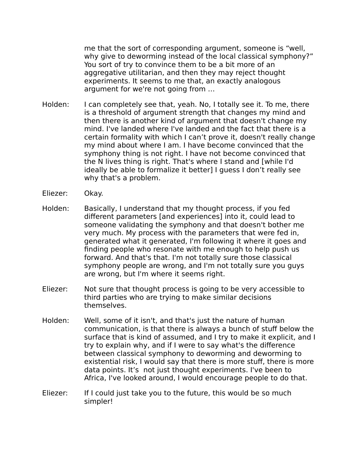me that the sort of corresponding argument, someone is "well, why give to deworming instead of the local classical symphony?" You sort of try to convince them to be a bit more of an aggregative utilitarian, and then they may reject thought experiments. It seems to me that, an exactly analogous argument for we're not going from …

- Holden: I can completely see that, yeah. No, I totally see it. To me, there is a threshold of argument strength that changes my mind and then there is another kind of argument that doesn't change my mind. I've landed where I've landed and the fact that there is a certain formality with which I can't prove it, doesn't really change my mind about where I am. I have become convinced that the symphony thing is not right. I have not become convinced that the N lives thing is right. That's where I stand and [while I'd ideally be able to formalize it better] I guess I don't really see why that's a problem.
- Eliezer: Okay.
- Holden: Basically, I understand that my thought process, if you fed different parameters [and experiences] into it, could lead to someone validating the symphony and that doesn't bother me very much. My process with the parameters that were fed in, generated what it generated, I'm following it where it goes and finding people who resonate with me enough to help push us forward. And that's that. I'm not totally sure those classical symphony people are wrong, and I'm not totally sure you guys are wrong, but I'm where it seems right.
- Eliezer: Not sure that thought process is going to be very accessible to third parties who are trying to make similar decisions themselves.
- Holden: Well, some of it isn't, and that's just the nature of human communication, is that there is always a bunch of stuff below the surface that is kind of assumed, and I try to make it explicit, and I try to explain why, and if I were to say what's the difference between classical symphony to deworming and deworming to existential risk, I would say that there is more stuff, there is more data points. It's not just thought experiments. I've been to Africa, I've looked around, I would encourage people to do that.
- Eliezer: If I could just take you to the future, this would be so much simpler!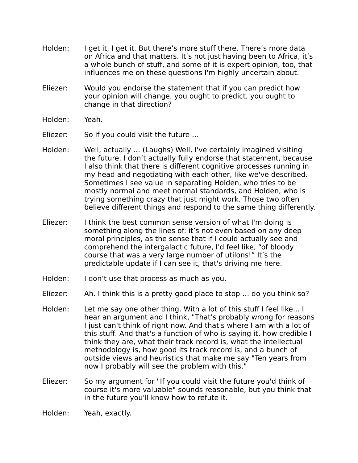- Holden: I get it, I get it. But there's more stuff there. There's more data on Africa and that matters. It's not just having been to Africa, it's a whole bunch of stuff, and some of it is expert opinion, too, that influences me on these questions I'm highly uncertain about.
- Eliezer: Would you endorse the statement that if you can predict how your opinion will change, you ought to predict, you ought to change in that direction?
- Holden: Yeah.
- Eliezer: So if you could visit the future …
- Holden: Well, actually … (Laughs) Well, I've certainly imagined visiting the future. I don't actually fully endorse that statement, because I also think that there is different cognitive processes running in my head and negotiating with each other, like we've described. Sometimes I see value in separating Holden, who tries to be mostly normal and meet normal standards, and Holden, who is trying something crazy that just might work. Those two often believe different things and respond to the same thing differently.
- Eliezer: I think the best common sense version of what I'm doing is something along the lines of: it's not even based on any deep moral principles, as the sense that if I could actually see and comprehend the intergalactic future, I'd feel like, "of bloody course that was a very large number of utilons!" It's the predictable update if I can see it, that's driving me here.
- Holden: I don't use that process as much as you.
- Eliezer: Ah. I think this is a pretty good place to stop … do you think so?
- Holden: Let me say one other thing. With a lot of this stuff I feel like... I hear an argument and I think, "That's probably wrong for reasons I just can't think of right now. And that's where I am with a lot of this stuff. And that's a function of who is saying it, how credible I think they are, what their track record is, what the intellectual methodology is, how good its track record is, and a bunch of outside views and heuristics that make me say "Ten years from now I probably will see the problem with this."
- Eliezer: So my argument for "If you could visit the future you'd think of course it's more valuable" sounds reasonable, but you think that in the future you'll know how to refute it.

Holden: Yeah, exactly.